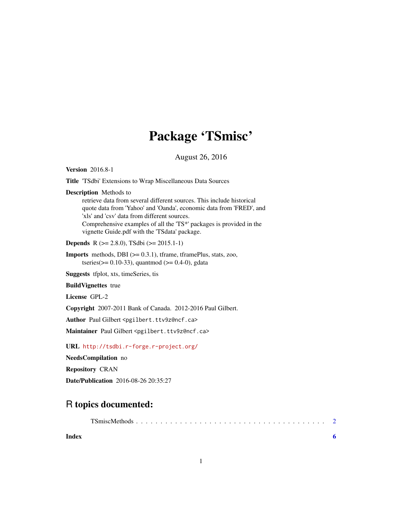## Package 'TSmisc'

August 26, 2016

<span id="page-0-0"></span>Version 2016.8-1

Title 'TSdbi' Extensions to Wrap Miscellaneous Data Sources

Description Methods to

retrieve data from several different sources. This include historical quote data from 'Yahoo' and 'Oanda', economic data from 'FRED', and 'xls' and 'csv' data from different sources. Comprehensive examples of all the 'TS\*' packages is provided in the vignette Guide.pdf with the 'TSdata' package.

Depends R (>= 2.8.0), TSdbi (>= 2015.1-1)

Imports methods, DBI (>= 0.3.1), tframe, tframePlus, stats, zoo, tseries( $> = 0.10 - 33$ ), quantmod ( $> = 0.4 - 0$ ), gdata

Suggests tfplot, xts, timeSeries, tis

BuildVignettes true

License GPL-2

Copyright 2007-2011 Bank of Canada. 2012-2016 Paul Gilbert.

Author Paul Gilbert <pgilbert.ttv9z@ncf.ca>

Maintainer Paul Gilbert <pgilbert.ttv9z@ncf.ca>

URL <http://tsdbi.r-forge.r-project.org/>

NeedsCompilation no

Repository CRAN

Date/Publication 2016-08-26 20:35:27

### R topics documented:

| Index |  |  |  |  |  |  |  |  |  |  |  |  |  |  |
|-------|--|--|--|--|--|--|--|--|--|--|--|--|--|--|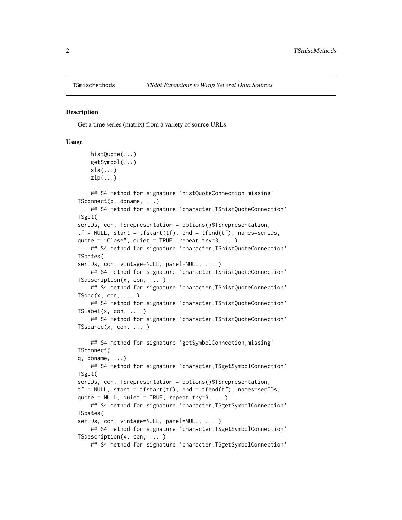<span id="page-1-0"></span>

#### Description

Get a time series (matrix) from a variety of source URLs

#### Usage

```
histQuote(...)
   getSymbol(...)
   xls(...)zip(...)## S4 method for signature 'histQuoteConnection,missing'
TSconnect(q, dbname, ...)
   ## S4 method for signature 'character,TShistQuoteConnection'
TSget(
serIDs, con, TSrepresentation = options()$TSrepresentation,
tf = NULL, start = tfstart(tf), end = tfend(tf), names=serIDs,
quote = "Close", quiet = TRUE, repeat.try=3, ...)
    ## S4 method for signature 'character,TShistQuoteConnection'
TSdates(
serIDs, con, vintage=NULL, panel=NULL, ... )
    ## S4 method for signature 'character,TShistQuoteConnection'
TSdescription(x, con, ... )
    ## S4 method for signature 'character,TShistQuoteConnection'
TSdoc(x, con, ... )## S4 method for signature 'character,TShistQuoteConnection'
TSlabel(x, con, ... )
    ## S4 method for signature 'character,TShistQuoteConnection'
TSsource(x, con, ... )
    ## S4 method for signature 'getSymbolConnection, missing'
TSconnect(
q, dbname, \ldots)## S4 method for signature 'character,TSgetSymbolConnection'
TSget(
serIDs, con, TSrepresentation = options()$TSrepresentation,
tf = NULL, start = tfstart(tf), end = tfend(tf), names=serIDs,
quote = NULL, quiet = TRUE, repeat.try=3, ...)
    ## S4 method for signature 'character,TSgetSymbolConnection'
TSdates(
serIDs, con, vintage=NULL, panel=NULL, ... )
    ## S4 method for signature 'character, TSgetSymbolConnection'
TSdescription(x, con, ... )
```
## S4 method for signature 'character, TSgetSymbolConnection'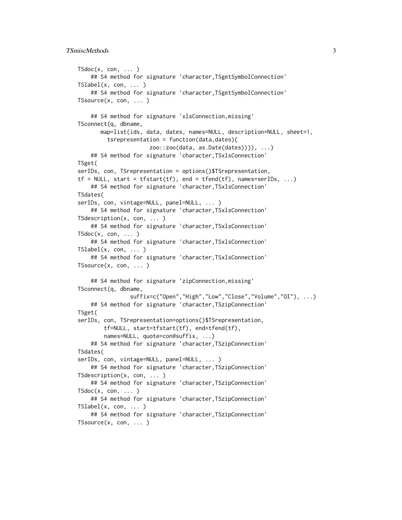#### TSmiscMethods 3

```
TSdoc(x, con, ... )## S4 method for signature 'character, TSgetSymbolConnection'
TSlabel(x, con, ... )
    ## S4 method for signature 'character, TSgetSymbolConnection'
TSsource(x, con, ... )
    ## S4 method for signature 'xlsConnection,missing'
TSconnect(q, dbname,
      map=list(ids, data, dates, names=NULL, description=NULL, sheet=1,
         tsrepresentation = function(data,dates){
                      zoo::zoo(data, as.Date(dates))}), ...)
    ## S4 method for signature 'character,TSxlsConnection'
TSget(
serIDs, con, TSrepresentation = options()$TSrepresentation,
tf = NULL, start = tfstart(tf), end = tfend(tf), names=serIDs, ...)
    ## S4 method for signature 'character,TSxlsConnection'
TSdates(
serIDs, con, vintage=NULL, panel=NULL, ... )
    ## S4 method for signature 'character, TSxlsConnection'
TSdescription(x, con, ... )
    ## S4 method for signature 'character,TSxlsConnection'
TSdoc(x, con, ... )## S4 method for signature 'character,TSxlsConnection'
TSlabel(x, con, ... )
    ## S4 method for signature 'character,TSxlsConnection'
TSsource(x, con, ... )
    ## S4 method for signature 'zipConnection,missing'
TSconnect(q, dbname,
                suffix=c("Open","High","Low","Close","Volume","OI"), ...)
    ## S4 method for signature 'character,TSzipConnection'
TSget(
serIDs, con, TSrepresentation=options()$TSrepresentation,
       tf=NULL, start=tfstart(tf), end=tfend(tf),
        names=NULL, quote=con@suffix, ...)
    ## S4 method for signature 'character, TSzipConnection'
TSdates(
serIDs, con, vintage=NULL, panel=NULL, ... )
    ## S4 method for signature 'character,TSzipConnection'
TSdescription(x, con, ... )
    ## S4 method for signature 'character,TSzipConnection'
TSdoc(x, con, ... )## S4 method for signature 'character,TSzipConnection'
TShabel(x, con, ... )## S4 method for signature 'character,TSzipConnection'
TSsource(x, con, ... )
```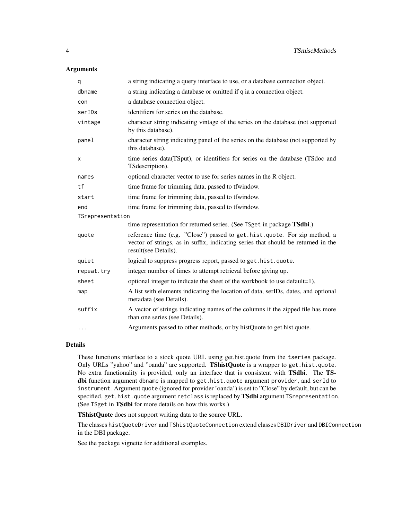#### Arguments

| q                | a string indicating a query interface to use, or a database connection object.                                                                                                         |
|------------------|----------------------------------------------------------------------------------------------------------------------------------------------------------------------------------------|
| dbname           | a string indicating a database or omitted if q ia a connection object.                                                                                                                 |
| con              | a database connection object.                                                                                                                                                          |
| serIDs           | identifiers for series on the database.                                                                                                                                                |
| vintage          | character string indicating vintage of the series on the database (not supported<br>by this database).                                                                                 |
| panel            | character string indicating panel of the series on the database (not supported by<br>this database).                                                                                   |
| X                | time series data(TSput), or identifiers for series on the database (TSdoc and<br>TS description).                                                                                      |
| names            | optional character vector to use for series names in the R object.                                                                                                                     |
| tf               | time frame for trimming data, passed to tfwindow.                                                                                                                                      |
| start            | time frame for trimming data, passed to tfwindow.                                                                                                                                      |
| end              | time frame for trimming data, passed to tfwindow.                                                                                                                                      |
| TSrepresentation |                                                                                                                                                                                        |
|                  | time representation for returned series. (See TSget in package TSdbi.)                                                                                                                 |
| quote            | reference time (e.g. "Close") passed to get.hist.quote. For zip method, a<br>vector of strings, as in suffix, indicating series that should be returned in the<br>result(see Details). |
| quiet            | logical to suppress progress report, passed to get. hist.quote.                                                                                                                        |
| repeat.try       | integer number of times to attempt retrieval before giving up.                                                                                                                         |
| sheet            | optional integer to indicate the sheet of the workbook to use default=1).                                                                                                              |
| map              | A list with elements indicating the location of data, serIDs, dates, and optional<br>metadata (see Details).                                                                           |
| suffix           | A vector of strings indicating names of the columns if the zipped file has more<br>than one series (see Details).                                                                      |
| $\cdots$         | Arguments passed to other methods, or by histQuote to get.hist.quote.                                                                                                                  |

#### Details

These functions interface to a stock quote URL using get.hist.quote from the tseries package. Only URLs "yahoo" and "oanda" are supported. TShistQuote is a wrapper to get.hist.quote. No extra functionality is provided, only an interface that is consistent with TSdbi. The TSdbi function argument dbname is mapped to get.hist.quote argument provider, and serId to instrument. Argument quote (ignored for provider 'oanda') is set to "Close" by default, but can be specified. get.hist.quote argument retclass is replaced by TSdbi argument TSrepresentation. (See TSget in TSdbi for more details on how this works.)

TShistQuote does not support writing data to the source URL.

The classes histQuoteDriver and TShistQuoteConnection extend classes DBIDriver and DBIConnection in the DBI package.

See the package vignette for additional examples.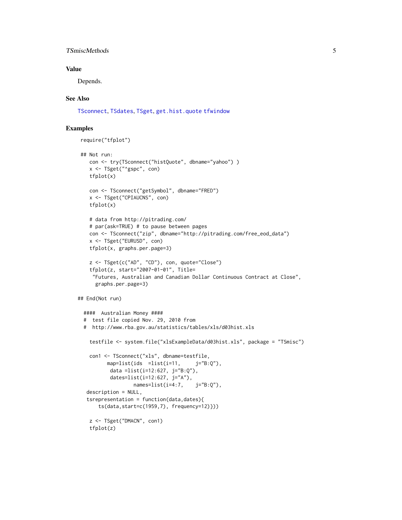#### <span id="page-4-0"></span>TSmiscMethods 5

#### Value

Depends.

#### See Also

[TSconnect](#page-0-0), [TSdates](#page-0-0), [TSget](#page-0-0), [get.hist.quote](#page-0-0) [tfwindow](#page-0-0)

#### Examples

```
require("tfplot")
```

```
## Not run:
   con <- try(TSconnect("histQuote", dbname="yahoo") )
   x <- TSget("^gspc", con)
   tfplot(x)
    con <- TSconnect("getSymbol", dbname="FRED")
    x <- TSget("CPIAUCNS", con)
   tfplot(x)
   # data from http://pitrading.com/
    # par(ask=TRUE) # to pause between pages
   con <- TSconnect("zip", dbname="http://pitrading.com/free_eod_data")
   x <- TSget("EURUSD", con)
   tfplot(x, graphs.per.page=3)
   z <- TSget(c("AD", "CD"), con, quote="Close")
    tfplot(z, start="2007-01-01", Title=
     "Futures, Australian and Canadian Dollar Continuous Contract at Close",
     graphs.per.page=3)
## End(Not run)
 #### Australian Money ####
 # test file copied Nov. 29, 2010 from
 # http://www.rba.gov.au/statistics/tables/xls/d03hist.xls
   testfile <- system.file("xlsExampleData/d03hist.xls", package = "TSmisc")
   con1 <- TSconnect("xls", dbname=testfile,
         map=list(ids =list(i=11, j="B:Q"),
          data =list(i=12:627, j="B:Q"),
          dates=list(i=12:627, j="A"),
                  names=list(i=4:7, i="B:0"),
   description = NULL,
   tsrepresentation = function(data,dates){
      ts(data,start=c(1959,7), frequency=12)}))
    z <- TSget("DMACN", con1)
   tfplot(z)
```